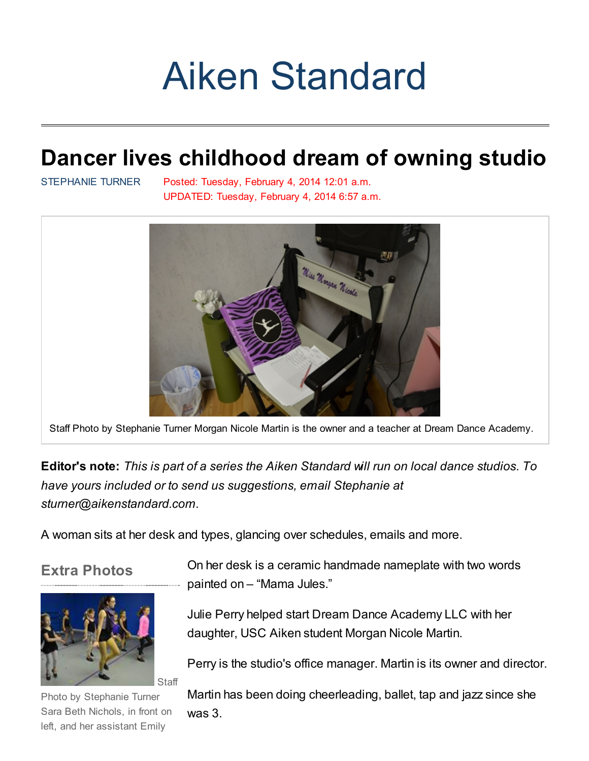# Aiken [Standard](http://www.aikenstandard.com/)

# Dancer lives childhood dream of owning studio

[STEPHANIE](http://www.aikenstandard.com/apps/pbcs.dll/personalia?ID=77) TURNER Posted: Tuesday, February 4, 2014 12:01 a.m. UPDATED: Tuesday, February 4, 2014 6:57 a.m.



Staff Photo by Stephanie Turner Morgan Nicole Martin is the owner and a teacher at Dream Dance Academy.

Editor's note: This is part of a series the Aiken Standard will run on local dance studios. To have yours included or to send us suggestions, email Stephanie at sturner@aikenstandard.com.

A woman sits at her desk and types, glancing over schedules, emails and more.

### Extra Photos



Photo by Stephanie Turner Sara Beth Nichols, in front on left, and her assistant Emily

On her desk is a ceramic handmade nameplate with two words painted on – "Mama Jules."

Julie Perry helped start Dream Dance Academy LLC with her daughter, USC Aiken student Morgan Nicole Martin.

Perry is the studio's office manager. Martin is its owner and director.

Martin has been doing cheerleading, ballet, tap and jazz since she was 3.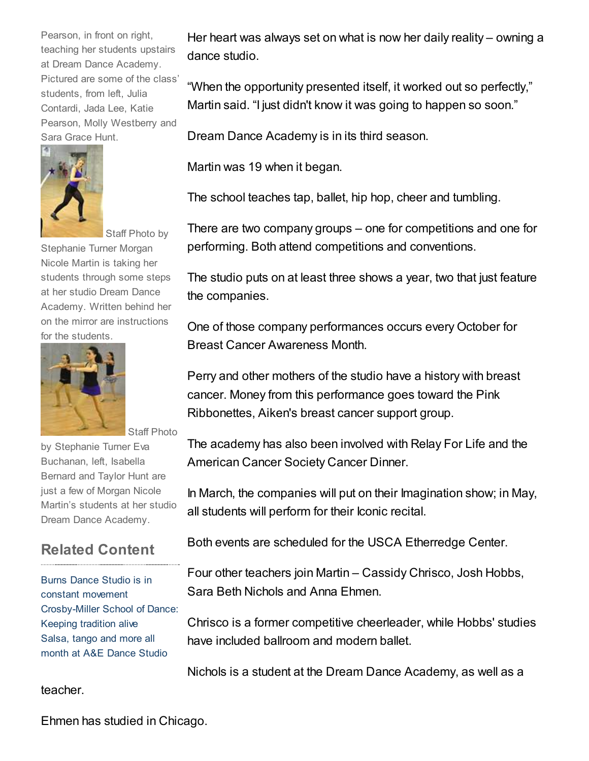Pearson, in front on right, teaching her students upstairs at Dream Dance Academy. Pictured are some of the class' students, from left, Julia Contardi, Jada Lee, Katie Pearson, Molly Westberry and Sara Grace Hunt.



Staff Photo by

Stephanie Turner Morgan Nicole Martin is taking her students through some steps at her studio Dream Dance Academy. Written behind her on the mirror are instructions for the students.



by Stephanie Turner Eva Buchanan, left, Isabella Bernard and Taylor Hunt are just a few of Morgan Nicole Martin's students at her studio Dream Dance Academy.

Staff Photo

## Related Content

Burns Dance Studio is in constant [movement](http://www.aikenstandard.com/article/20140204/AIK0401/140209843/1031/AIK04) [Crosby-Miller](http://www.aikenstandard.com/article/20140127/AIK0401/140129482/1031/AIK04) School of Dance: Keeping tradition alive Salsa, tango and more all month at A&E [Dance](http://www.aikenstandard.com/article/20140127/AIK0401/140129481/1031/AIK04) Studio

teacher.

Her heart was always set on what is now her daily reality – owning a dance studio.

"When the opportunity presented itself, it worked out so perfectly," Martin said. "I just didn't know it was going to happen so soon."

Dream Dance Academy is in its third season.

Martin was 19 when it began.

The school teaches tap, ballet, hip hop, cheer and tumbling.

There are two company groups – one for competitions and one for performing. Both attend competitions and conventions.

The studio puts on at least three shows a year, two that just feature the companies.

One of those company performances occurs every October for Breast Cancer Awareness Month.

Perry and other mothers of the studio have a history with breast cancer. Money from this performance goes toward the Pink Ribbonettes, Aiken's breast cancer support group.

The academy has also been involved with Relay For Life and the American Cancer Society Cancer Dinner.

In March, the companies will put on their Imagination show; in May, all students will perform for their Iconic recital.

Both events are scheduled for the USCA Etherredge Center.

Four other teachers join Martin – Cassidy Chrisco, Josh Hobbs, Sara Beth Nichols and Anna Ehmen.

Chrisco is a former competitive cheerleader, while Hobbs' studies have included ballroom and modern ballet.

Nichols is a student at the Dream Dance Academy, as well as a

Ehmen has studied in Chicago.